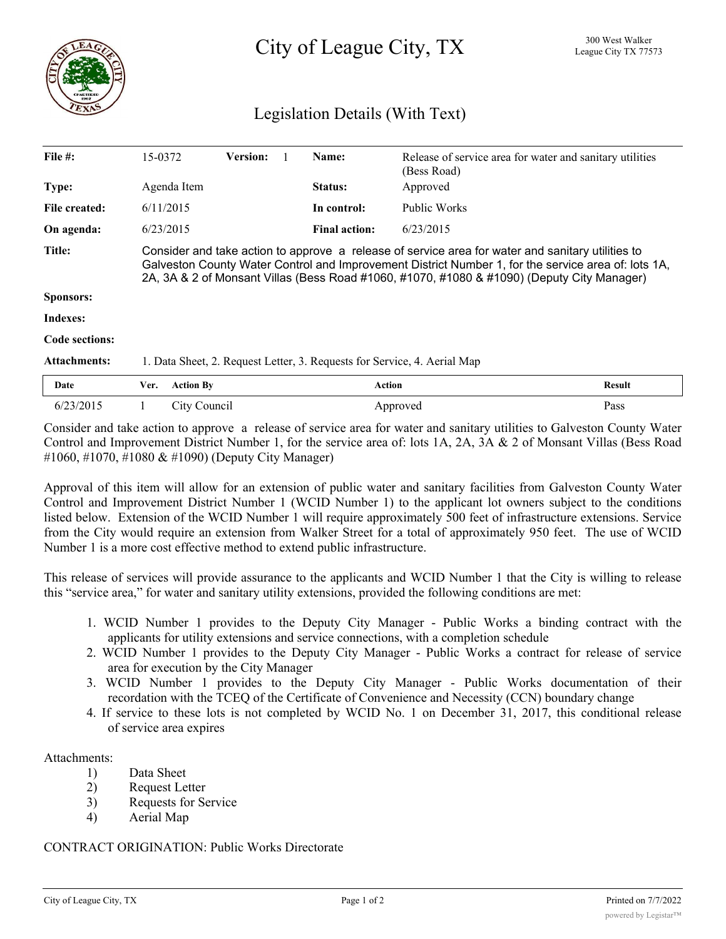

City of League City, TX <sup>300 West Walker</sup>

## Legislation Details (With Text)

| File $#$ :            | 15-0372                                                                                                                                                                                                                                                                                                | <b>Version:</b> |  | Name:                | Release of service area for water and sanitary utilities<br>(Bess Road) |               |
|-----------------------|--------------------------------------------------------------------------------------------------------------------------------------------------------------------------------------------------------------------------------------------------------------------------------------------------------|-----------------|--|----------------------|-------------------------------------------------------------------------|---------------|
| Type:                 | Agenda Item                                                                                                                                                                                                                                                                                            |                 |  | Status:              | Approved                                                                |               |
| File created:         | 6/11/2015                                                                                                                                                                                                                                                                                              |                 |  | In control:          | Public Works                                                            |               |
| On agenda:            | 6/23/2015                                                                                                                                                                                                                                                                                              |                 |  | <b>Final action:</b> | 6/23/2015                                                               |               |
| <b>Title:</b>         | Consider and take action to approve a release of service area for water and sanitary utilities to<br>Galveston County Water Control and Improvement District Number 1, for the service area of: lots 1A,<br>2A, 3A & 2 of Monsant Villas (Bess Road #1060, #1070, #1080 & #1090) (Deputy City Manager) |                 |  |                      |                                                                         |               |
| <b>Sponsors:</b>      |                                                                                                                                                                                                                                                                                                        |                 |  |                      |                                                                         |               |
| Indexes:              |                                                                                                                                                                                                                                                                                                        |                 |  |                      |                                                                         |               |
| <b>Code sections:</b> |                                                                                                                                                                                                                                                                                                        |                 |  |                      |                                                                         |               |
| <b>Attachments:</b>   | 1. Data Sheet, 2. Request Letter, 3. Requests for Service, 4. Aerial Map                                                                                                                                                                                                                               |                 |  |                      |                                                                         |               |
| Date                  | <b>Action By</b><br>Ver.                                                                                                                                                                                                                                                                               |                 |  |                      | <b>Action</b>                                                           | <b>Result</b> |
| 6/23/2015             | City Council                                                                                                                                                                                                                                                                                           |                 |  |                      | Approved                                                                | Pass          |

Consider and take action to approve a release of service area for water and sanitary utilities to Galveston County Water Control and Improvement District Number 1, for the service area of: lots 1A, 2A, 3A & 2 of Monsant Villas (Bess Road #1060, #1070, #1080 & #1090) (Deputy City Manager)

Approval of this item will allow for an extension of public water and sanitary facilities from Galveston County Water Control and Improvement District Number 1 (WCID Number 1) to the applicant lot owners subject to the conditions listed below. Extension of the WCID Number 1 will require approximately 500 feet of infrastructure extensions. Service from the City would require an extension from Walker Street for a total of approximately 950 feet. The use of WCID Number 1 is a more cost effective method to extend public infrastructure.

This release of services will provide assurance to the applicants and WCID Number 1 that the City is willing to release this "service area," for water and sanitary utility extensions, provided the following conditions are met:

- 1. WCID Number 1 provides to the Deputy City Manager Public Works a binding contract with the applicants for utility extensions and service connections, with a completion schedule
- 2. WCID Number 1 provides to the Deputy City Manager Public Works a contract for release of service area for execution by the City Manager
- 3. WCID Number 1 provides to the Deputy City Manager Public Works documentation of their recordation with the TCEQ of the Certificate of Convenience and Necessity (CCN) boundary change
- 4. If service to these lots is not completed by WCID No. 1 on December 31, 2017, this conditional release of service area expires

## Attachments:

- 1) Data Sheet
- 2) Request Letter
- 3) Requests for Service
- 4) Aerial Map

## CONTRACT ORIGINATION: Public Works Directorate